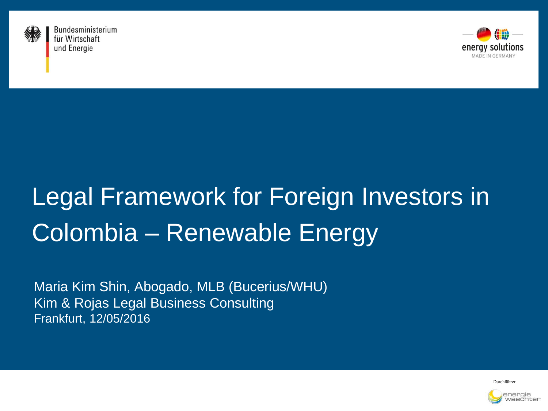

Bundesministerium für Wirtschaft und Energie



## Legal Framework for Foreign Investors in Colombia – Renewable Energy

Maria Kim Shin, Abogado, MLB (Bucerius/WHU) Kim & Rojas Legal Business Consulting Frankfurt, 12/05/2016

Durchführer

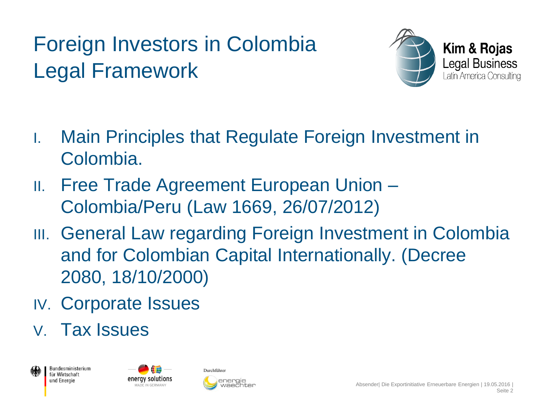### Foreign Investors in Colombia Legal Framework



- I. Main Principles that Regulate Foreign Investment in Colombia.
- II. Free Trade Agreement European Union Colombia/Peru (Law 1669, 26/07/2012)
- **III. General Law regarding Foreign Investment in Colombia** and for Colombian Capital Internationally. (Decree 2080, 18/10/2000)
- IV. Corporate Issues
- V. Tax Issues





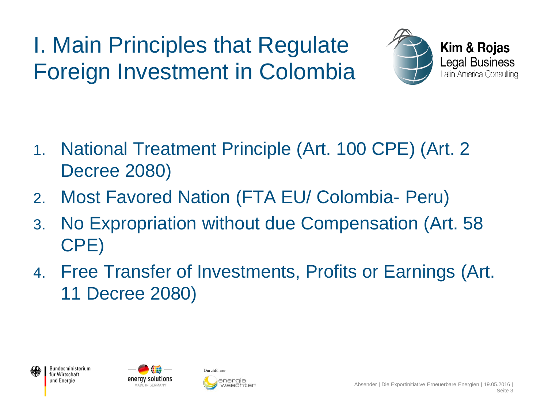I. Main Principles that Regulate Foreign Investment in Colombia



- 1. National Treatment Principle (Art. 100 CPE) (Art. 2 Decree 2080)
- 2. Most Favored Nation (FTA EU/ Colombia- Peru)
- 3. No Expropriation without due Compensation (Art. 58 CPE)
- 4. Free Transfer of Investments, Profits or Earnings (Art. 11 Decree 2080)





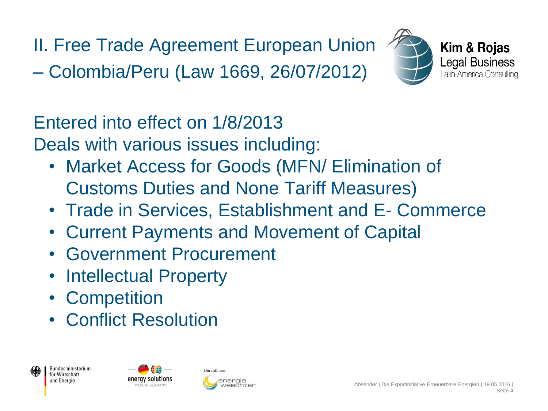II. Free Trade Agreement European Union

– Colombia/Peru (Law 1669, 26/07/2012)





Entered into effect on 1/8/2013

Deals with various issues including:

- Market Access for Goods (MFN/ Elimination of Customs Duties and None Tariff Measures)
- Trade in Services, Establishment and E- Commerce
- Current Payments and Movement of Capital
- Government Procurement
- Intellectual Property
- Competition
- Conflict Resolution





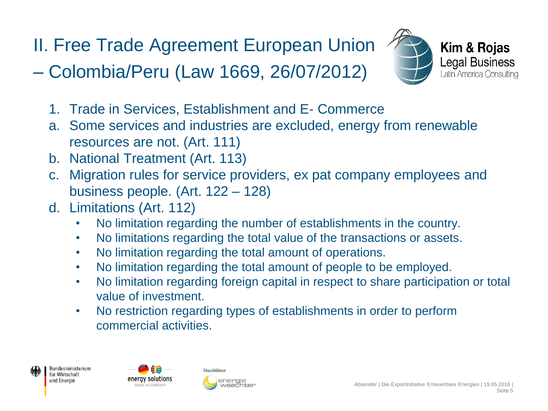# II. Free Trade Agreement European Union

– Colombia/Peru (Law 1669, 26/07/2012)



- 1. Trade in Services, Establishment and E- Commerce
- a. Some services and industries are excluded, energy from renewable resources are not. (Art. 111)
- b. National Treatment (Art. 113)
- c. Migration rules for service providers, ex pat company employees and business people. (Art. 122 – 128)
- d. Limitations (Art. 112)
	- No limitation regarding the number of establishments in the country.
	- No limitations regarding the total value of the transactions or assets.
	- No limitation regarding the total amount of operations.
	- No limitation regarding the total amount of people to be employed.
	- No limitation regarding foreign capital in respect to share participation or total value of investment.
	- No restriction regarding types of establishments in order to perform commercial activities.





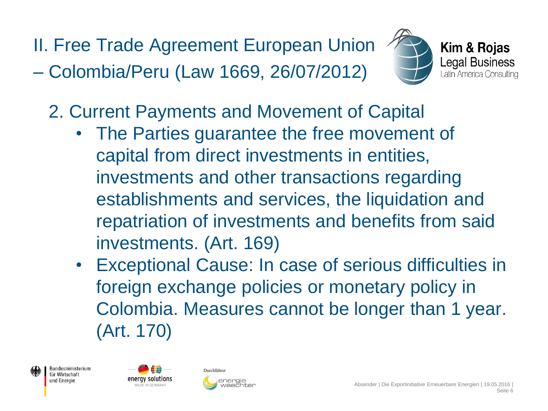II. Free Trade Agreement European Union – Colombia/Peru (Law 1669, 26/07/2012)





- 2. Current Payments and Movement of Capital
	- The Parties guarantee the free movement of capital from direct investments in entities, investments and other transactions regarding establishments and services, the liquidation and repatriation of investments and benefits from said investments. (Art. 169)
	- Exceptional Cause: In case of serious difficulties in foreign exchange policies or monetary policy in Colombia. Measures cannot be longer than 1 year. (Art. 170)





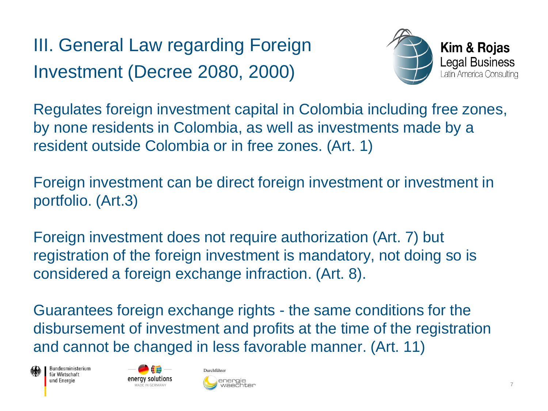III. General Law regarding Foreign Investment (Decree 2080, 2000)



Regulates foreign investment capital in Colombia including free zones, by none residents in Colombia, as well as investments made by a resident outside Colombia or in free zones. (Art. 1)

Foreign investment can be direct foreign investment or investment in portfolio. (Art.3)

Foreign investment does not require authorization (Art. 7) but registration of the foreign investment is mandatory, not doing so is considered a foreign exchange infraction. (Art. 8).

Guarantees foreign exchange rights - the same conditions for the disbursement of investment and profits at the time of the registration and cannot be changed in less favorable manner. (Art. 11)





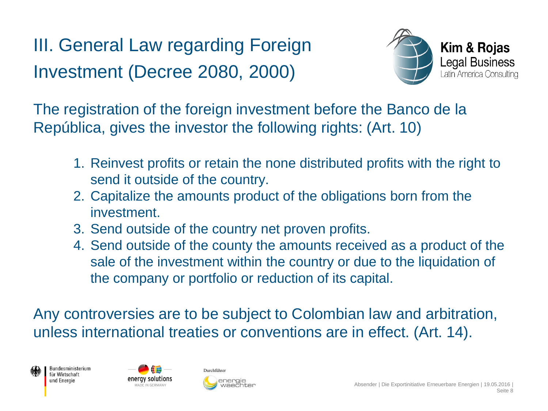III. General Law regarding Foreign Investment (Decree 2080, 2000)



The registration of the foreign investment before the Banco de la República, gives the investor the following rights: (Art. 10)

- 1. Reinvest profits or retain the none distributed profits with the right to send it outside of the country.
- 2. Capitalize the amounts product of the obligations born from the investment.
- 3. Send outside of the country net proven profits.
- 4. Send outside of the county the amounts received as a product of the sale of the investment within the country or due to the liquidation of the company or portfolio or reduction of its capital.

Any controversies are to be subject to Colombian law and arbitration, unless international treaties or conventions are in effect. (Art. 14).





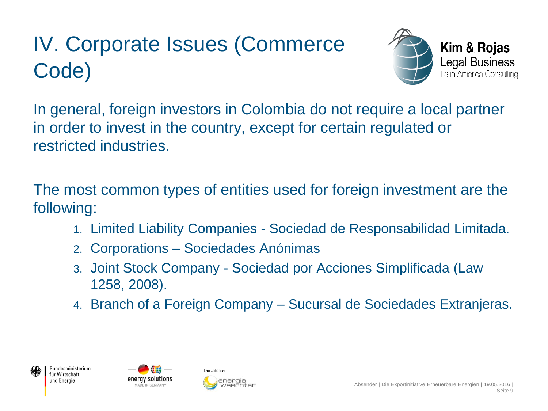### IV. Corporate Issues (Commerce Code)



In general, foreign investors in Colombia do not require a local partner in order to invest in the country, except for certain regulated or restricted industries.

The most common types of entities used for foreign investment are the following:

- 1. Limited Liability Companies Sociedad de Responsabilidad Limitada.
- 2. Corporations Sociedades Anónimas
- 3. Joint Stock Company Sociedad por Acciones Simplificada (Law 1258, 2008).
- 4. Branch of a Foreign Company Sucursal de Sociedades Extranjeras.





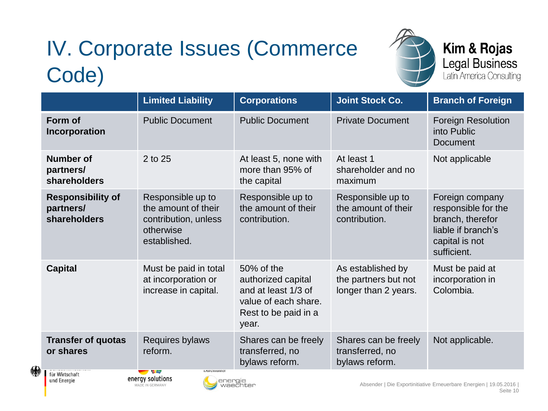## IV. Corporate Issues (Commerce Code)



#### Kim & Rojas Legal Business<br>Latin America Consulting

|                                                                                                                                                                                                                                                                                                                                                                              | <b>Limited Liability</b>                                                                      | <b>Corporations</b>                                                                                              | <b>Joint Stock Co.</b>                                            | <b>Branch of Foreign</b>                                                                                          |
|------------------------------------------------------------------------------------------------------------------------------------------------------------------------------------------------------------------------------------------------------------------------------------------------------------------------------------------------------------------------------|-----------------------------------------------------------------------------------------------|------------------------------------------------------------------------------------------------------------------|-------------------------------------------------------------------|-------------------------------------------------------------------------------------------------------------------|
| Form of<br>Incorporation                                                                                                                                                                                                                                                                                                                                                     | <b>Public Document</b>                                                                        | <b>Public Document</b>                                                                                           | <b>Private Document</b>                                           | <b>Foreign Resolution</b><br>into Public<br><b>Document</b>                                                       |
| <b>Number of</b><br>partners/<br>shareholders                                                                                                                                                                                                                                                                                                                                | 2 to 25                                                                                       | At least 5, none with<br>more than 95% of<br>the capital                                                         | At least 1<br>shareholder and no<br>maximum                       | Not applicable                                                                                                    |
| <b>Responsibility of</b><br>partners/<br>shareholders                                                                                                                                                                                                                                                                                                                        | Responsible up to<br>the amount of their<br>contribution, unless<br>otherwise<br>established. | Responsible up to<br>the amount of their<br>contribution.                                                        | Responsible up to<br>the amount of their<br>contribution.         | Foreign company<br>responsible for the<br>branch, therefor<br>liable if branch's<br>capital is not<br>sufficient. |
| <b>Capital</b>                                                                                                                                                                                                                                                                                                                                                               | Must be paid in total<br>at incorporation or<br>increase in capital.                          | 50% of the<br>authorized capital<br>and at least 1/3 of<br>value of each share.<br>Rest to be paid in a<br>year. | As established by<br>the partners but not<br>longer than 2 years. | Must be paid at<br>incorporation in<br>Colombia.                                                                  |
| <b>Transfer of quotas</b><br>or shares<br>$\overline{a}$ and $\overline{a}$ and $\overline{a}$ and $\overline{a}$ and $\overline{a}$ and $\overline{a}$ and $\overline{a}$ and $\overline{a}$ and $\overline{a}$ and $\overline{a}$ and $\overline{a}$ and $\overline{a}$ and $\overline{a}$ and $\overline{a}$ and $\overline{a}$ and $\overline{a}$ and $\overline{a}$ and | Requires bylaws<br>reform.<br>Durentumer<br>$H_{\rm{H}}$                                      | Shares can be freely<br>transferred, no<br>bylaws reform.                                                        | Shares can be freely<br>transferred, no<br>bylaws reform.         | Not applicable.                                                                                                   |



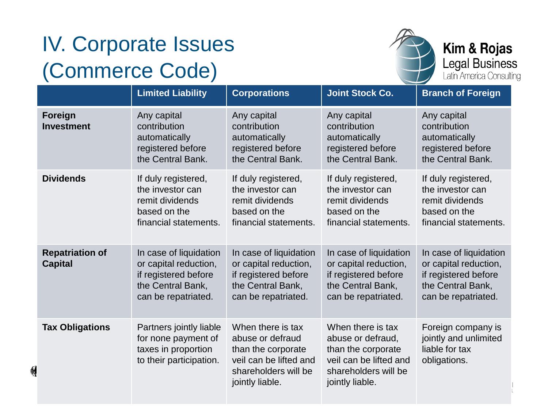### IV. Corporate Issues (Commerce Code)

易



#### Kim & Rojas Legal Business<br>Latin America Consulting

|                                          |                                                                                                                     |                                                                                                                                  | $\sim$                                                                                                                            |                                                                                                                     |
|------------------------------------------|---------------------------------------------------------------------------------------------------------------------|----------------------------------------------------------------------------------------------------------------------------------|-----------------------------------------------------------------------------------------------------------------------------------|---------------------------------------------------------------------------------------------------------------------|
|                                          | <b>Limited Liability</b>                                                                                            | <b>Corporations</b>                                                                                                              | <b>Joint Stock Co.</b>                                                                                                            | <b>Branch of Foreign</b>                                                                                            |
| Foreign<br><b>Investment</b>             | Any capital<br>contribution<br>automatically<br>registered before<br>the Central Bank.                              | Any capital<br>contribution<br>automatically<br>registered before<br>the Central Bank.                                           | Any capital<br>contribution<br>automatically<br>registered before<br>the Central Bank.                                            | Any capital<br>contribution<br>automatically<br>registered before<br>the Central Bank.                              |
| <b>Dividends</b>                         | If duly registered,<br>the investor can<br>remit dividends<br>based on the<br>financial statements.                 | If duly registered,<br>the investor can<br>remit dividends<br>based on the<br>financial statements.                              | If duly registered,<br>the investor can<br>remit dividends<br>based on the<br>financial statements.                               | If duly registered,<br>the investor can<br>remit dividends<br>based on the<br>financial statements.                 |
| <b>Repatriation of</b><br><b>Capital</b> | In case of liquidation<br>or capital reduction,<br>if registered before<br>the Central Bank,<br>can be repatriated. | In case of liquidation<br>or capital reduction,<br>if registered before<br>the Central Bank,<br>can be repatriated.              | In case of liquidation<br>or capital reduction,<br>if registered before<br>the Central Bank,<br>can be repatriated.               | In case of liquidation<br>or capital reduction,<br>if registered before<br>the Central Bank,<br>can be repatriated. |
| <b>Tax Obligations</b>                   | Partners jointly liable<br>for none payment of<br>taxes in proportion<br>to their participation.                    | When there is tax<br>abuse or defraud<br>than the corporate<br>veil can be lifted and<br>shareholders will be<br>jointly liable. | When there is tax<br>abuse or defraud,<br>than the corporate<br>veil can be lifted and<br>shareholders will be<br>jointly liable. | Foreign company is<br>jointly and unlimited<br>liable for tax<br>obligations.                                       |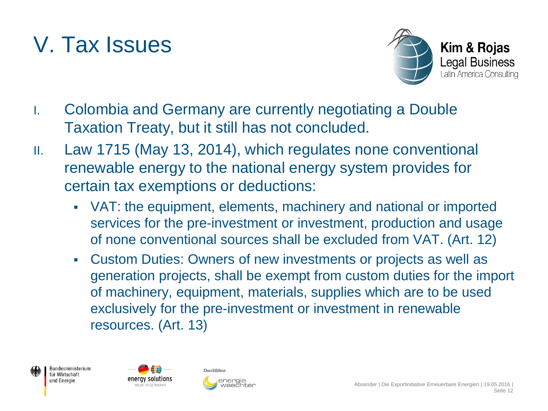### V. Tax Issues



- I. Colombia and Germany are currently negotiating a Double Taxation Treaty, but it still has not concluded.
- II. Law 1715 (May 13, 2014), which regulates none conventional renewable energy to the national energy system provides for certain tax exemptions or deductions:
	- VAT: the equipment, elements, machinery and national or imported services for the pre-investment or investment, production and usage of none conventional sources shall be excluded from VAT. (Art. 12)
	- Custom Duties: Owners of new investments or projects as well as generation projects, shall be exempt from custom duties for the import of machinery, equipment, materials, supplies which are to be used exclusively for the pre-investment or investment in renewable resources. (Art. 13)





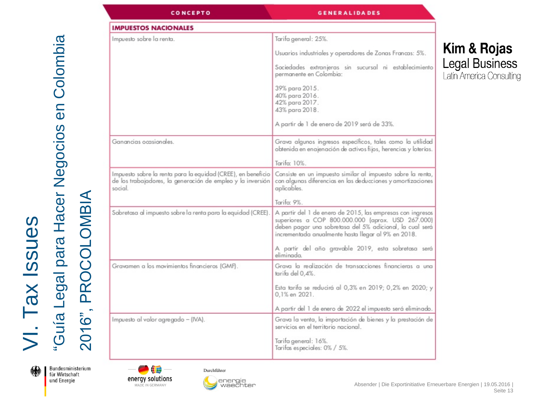| <b>CONCEPTO</b>                                                                                                                        | <b>GENERALIDADES</b>                                                                                                                                                                                                               |
|----------------------------------------------------------------------------------------------------------------------------------------|------------------------------------------------------------------------------------------------------------------------------------------------------------------------------------------------------------------------------------|
| <b>IMPUESTOS NACIONALES</b>                                                                                                            |                                                                                                                                                                                                                                    |
| Impuesto sobre la renta.                                                                                                               | Tarifa general: 25%.                                                                                                                                                                                                               |
|                                                                                                                                        | Usuarios industriales y operadores de Zonas Francas: 5%.                                                                                                                                                                           |
|                                                                                                                                        | Sociedades extranjeras sin sucursal ni establecimiento<br>permanente en Colombia:                                                                                                                                                  |
|                                                                                                                                        | 39% para 2015.<br>40% para 2016.<br>42% para 2017.<br>43% para 2018.                                                                                                                                                               |
|                                                                                                                                        | A partir de 1 de enero de 2019 será de 33%.                                                                                                                                                                                        |
| Ganancias ocasionales.                                                                                                                 | Grava algunos ingresos específicos, tales como la utilidad<br>obtenida en enajenación de activos fijos, herencias y loterías.                                                                                                      |
|                                                                                                                                        | Tarifa: 10%.                                                                                                                                                                                                                       |
| Impuesto sobre la renta para la equidad (CREE), en beneficio<br>de los trabajadores, la generación de empleo y la inversión<br>social. | Consiste en un impuesto similar al impuesto sobre la renta,<br>con algunas diferencias en las deducciones y amortizaciones<br>aplicables.                                                                                          |
|                                                                                                                                        | Tarifa: 9%.                                                                                                                                                                                                                        |
| Sobretasa al impuesto sobre la renta para la equidad (CREE).                                                                           | A partir del 1 de enero de 2015, las empresas con ingresos<br>superiores a COP 800.000.000 (aprox. USD 267.000)<br>deben pagar una sobretasa del 5% adicional, la cual será<br>incrementada anualmente hasta llegar al 9% en 2018. |
|                                                                                                                                        | A partir del año gravable 2019, esta sobretasa será<br>eliminada.                                                                                                                                                                  |
| Gravamen a los movimientos financieros (GMF).                                                                                          | Grava la realización de transacciones financieras a una<br>tarifa del 0.4%.                                                                                                                                                        |
|                                                                                                                                        | Esta tarifa se reducirá al 0,3% en 2019; 0,2% en 2020; y<br>0,1% en 2021.                                                                                                                                                          |
|                                                                                                                                        | A partir del 1 de enero de 2022 el impuesto será eliminado.                                                                                                                                                                        |
| Impuesto al valor agregado - (IVA).                                                                                                    | Grava la venta, la importación de bienes y la prestación de<br>servicios en el territorio nacional.                                                                                                                                |
|                                                                                                                                        | Tarifa general: 16%.<br>Tarifas especiales: 0% / 5%.                                                                                                                                                                               |



Bundesministerium für Wirtschaft und Energie

2016", PROCOLOMBIA



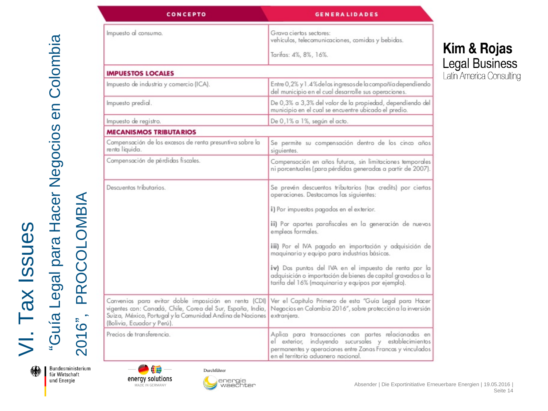| <b>CONCEPTO</b>                                                                                                                                                                                                | <b>GENERALIDADES</b>                                                                                                                                                                                               |
|----------------------------------------------------------------------------------------------------------------------------------------------------------------------------------------------------------------|--------------------------------------------------------------------------------------------------------------------------------------------------------------------------------------------------------------------|
| Impuesto al consumo.                                                                                                                                                                                           | Grava ciertos sectores:<br>vehículos, telecomunicaciones, comidas y bebidas.                                                                                                                                       |
|                                                                                                                                                                                                                | Tarifas: 4%, 8%, 16%.                                                                                                                                                                                              |
| <b>IMPUESTOS LOCALES</b>                                                                                                                                                                                       |                                                                                                                                                                                                                    |
| Impuesto de industria y comercio (ICA).                                                                                                                                                                        | Entre 0,2% y 1.4% de los ingresos de la compañía dependiendo<br>del municipio en el cual desarrolle sus operaciones.                                                                                               |
| Impuesto predial.                                                                                                                                                                                              | De 0,3% a 3,3% del valor de la propiedad, dependiendo del<br>municipio en el cual se encuentre ubicado el predio.                                                                                                  |
| Impuesto de registro.                                                                                                                                                                                          | De 0,1% a 1%, según el acto.                                                                                                                                                                                       |
| <b>MECANISMOS TRIBUTARIOS</b>                                                                                                                                                                                  |                                                                                                                                                                                                                    |
| Compensación de los excesos de renta presuntiva sobre la<br>renta líquida.                                                                                                                                     | Se permite su compensación dentro de los cinco años<br>siguientes.                                                                                                                                                 |
| Compensación de pérdidas fiscales.                                                                                                                                                                             | Compensación en años futuros, sin limitaciones temporales<br>ni porcentuales (para pérdidas generadas a partir de 2007).                                                                                           |
| Descuentos tributarios.                                                                                                                                                                                        | Se prevén descuentos tributarios (tax credits) por ciertas<br>operaciones. Destacamos las siguientes:                                                                                                              |
|                                                                                                                                                                                                                | i) Por impuestos pagados en el exterior.                                                                                                                                                                           |
|                                                                                                                                                                                                                | ii) Por aportes parafiscales en la generación de nuevos<br>empleos formales.                                                                                                                                       |
|                                                                                                                                                                                                                | iii) Por el IVA pagado en importación y adquisición de<br>maquinaria y equipo para industrias básicas.                                                                                                             |
|                                                                                                                                                                                                                | iv) Dos puntos del IVA en el impuesto de renta por la<br>adquisición o importación de bienes de capital gravados a la<br>tarifa del 16% (maquinaria y equipos por ejemplo).                                        |
| Convenios para evitar doble imposición en renta (CDI)<br>vigentes con: Canadá, Chile, Corea del Sur, España, India,<br>Suiza, México, Portugal y la Comunidad Andina de Naciones<br>(Bolivia, Ecuador y Perú). | Ver el Capítulo Primero de esta "Guía Legal para Hacer<br>Negocios en Colombia 2016", sobre protección a la inversión<br>extranjera.                                                                               |
| Precios de transferencia.                                                                                                                                                                                      | Aplica para transacciones con partes relacionadas en<br>el exterior, incluyendo sucursales y establecimientos<br>permanentes y operaciones entre Zonas Francas y vinculados<br>en el territorio aduanero nacional. |

#### Kim & Rojas **Legal Business**

Latin America Consulting

绿

Bundesministerium für Wirtschaft und Energie

2016", PROCOLOMBIA